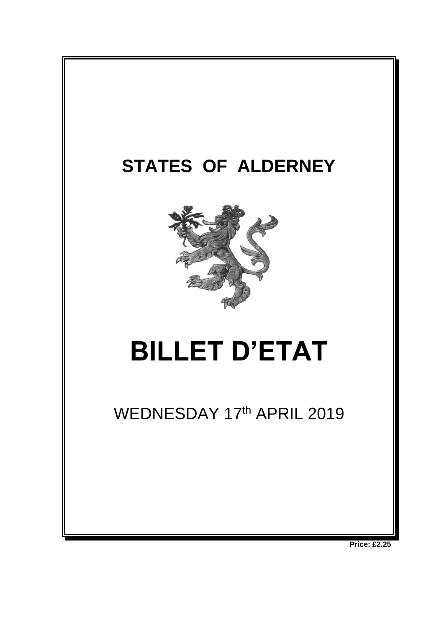

**Price: £2.25**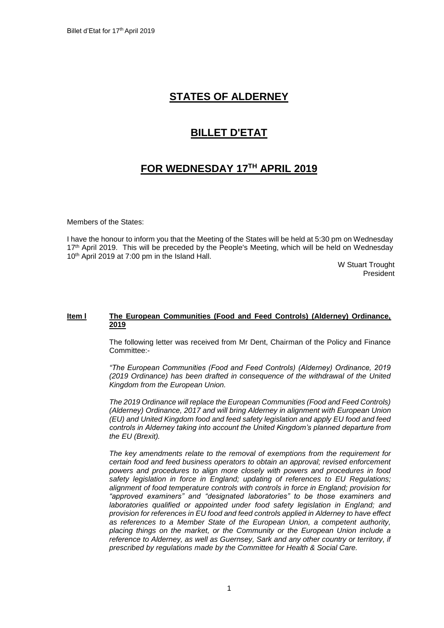# **STATES OF ALDERNEY**

### **BILLET D'ETAT**

# **FOR WEDNESDAY 17 TH APRIL 2019**

Members of the States:

I have the honour to inform you that the Meeting of the States will be held at 5:30 pm on Wednesday 17<sup>th</sup> April 2019. This will be preceded by the People's Meeting, which will be held on Wednesday 10 th April 2019 at 7:00 pm in the Island Hall.

> W Stuart Trought President

#### **Item l The European Communities (Food and Feed Controls) (Alderney) Ordinance, 2019**

The following letter was received from Mr Dent, Chairman of the Policy and Finance Committee:-

*"The European Communities (Food and Feed Controls) (Alderney) Ordinance, 2019 (2019 Ordinance) has been drafted in consequence of the withdrawal of the United Kingdom from the European Union.*

*The 2019 Ordinance will replace the European Communities (Food and Feed Controls) (Alderney) Ordinance, 2017 and will bring Alderney in alignment with European Union (EU) and United Kingdom food and feed safety legislation and apply EU food and feed controls in Alderney taking into account the United Kingdom's planned departure from the EU (Brexit).*

*The key amendments relate to the removal of exemptions from the requirement for certain food and feed business operators to obtain an approval; revised enforcement powers and procedures to align more closely with powers and procedures in food safety legislation in force in England; updating of references to EU Regulations; alignment of food temperature controls with controls in force in England; provision for "approved examiners" and "designated laboratories" to be those examiners and laboratories qualified or appointed under food safety legislation in England; and provision for references in EU food and feed controls applied in Alderney to have effect as references to a Member State of the European Union, a competent authority, placing things on the market, or the Community or the European Union include a reference to Alderney, as well as Guernsey, Sark and any other country or territory, if prescribed by regulations made by the Committee for Health & Social Care.*